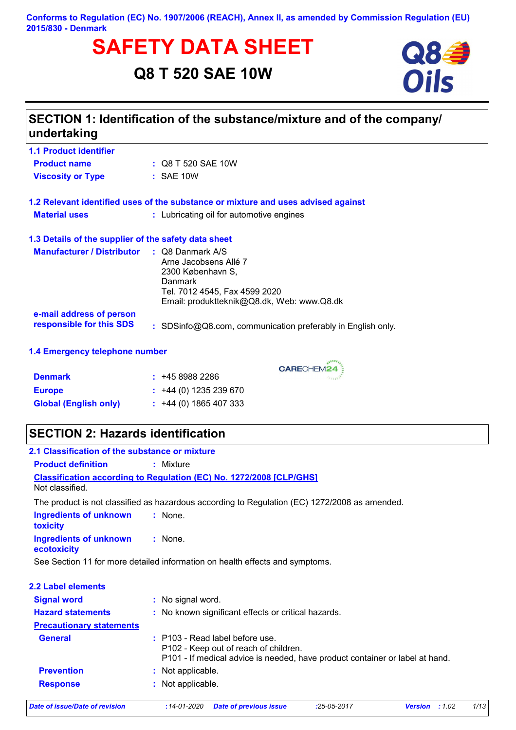**Conforms to Regulation (EC) No. 1907/2006 (REACH), Annex II, as amended by Commission Regulation (EU) 2015/830 - Denmark**

# **SAFETY DATA SHEET**<br>Q8 T 520 SAE 10W **Oils**

**Q8 T 520 SAE 10W**



| undertaking                                          | SECTION 1: Identification of the substance/mixture and of the company/                                                                      |
|------------------------------------------------------|---------------------------------------------------------------------------------------------------------------------------------------------|
| <b>1.1 Product identifier</b>                        |                                                                                                                                             |
| <b>Product name</b>                                  | : Q8 T 520 SAE 10W                                                                                                                          |
| <b>Viscosity or Type</b>                             | $:$ SAE 10W                                                                                                                                 |
|                                                      | 1.2 Relevant identified uses of the substance or mixture and uses advised against                                                           |
| <b>Material uses</b>                                 | : Lubricating oil for automotive engines                                                                                                    |
| 1.3 Details of the supplier of the safety data sheet |                                                                                                                                             |
| Manufacturer / Distributor : Q8 Danmark A/S          | Arne Jacobsens Allé 7<br>2300 København S,<br><b>Danmark</b><br>Tel. 7012 4545, Fax 4599 2020<br>Email: produktteknik@Q8.dk, Web: www.Q8.dk |
| e-mail address of person<br>responsible for this SDS | : SDSinfo@Q8.com, communication preferably in English only.                                                                                 |
| 1.4 Emergency telephone number                       |                                                                                                                                             |

CARECHEM24

| <b>Denmark</b> | : 4589882286 |
|----------------|--------------|

| <b>Dennark</b>               | $\div$ T40 0900 ZZ00        |
|------------------------------|-----------------------------|
| <b>Europe</b>                | $\div$ +44 (0) 1235 239 670 |
| <b>Global (English only)</b> | $\div$ +44 (0) 1865 407 333 |

## **SECTION 2: Hazards identification**

| 2.1 Classification of the substance or mixture |                                                                                                                                                            |             |                         |      |
|------------------------------------------------|------------------------------------------------------------------------------------------------------------------------------------------------------------|-------------|-------------------------|------|
| <b>Product definition</b>                      | : Mixture                                                                                                                                                  |             |                         |      |
| Not classified.                                | <b>Classification according to Regulation (EC) No. 1272/2008 [CLP/GHS]</b>                                                                                 |             |                         |      |
|                                                | The product is not classified as hazardous according to Regulation (EC) 1272/2008 as amended.                                                              |             |                         |      |
| <b>Ingredients of unknown</b><br>toxicity      | $:$ None.                                                                                                                                                  |             |                         |      |
| <b>Ingredients of unknown</b><br>ecotoxicity   | : None.                                                                                                                                                    |             |                         |      |
|                                                | See Section 11 for more detailed information on health effects and symptoms.                                                                               |             |                         |      |
| 2.2 Label elements                             |                                                                                                                                                            |             |                         |      |
| <b>Signal word</b>                             | : No signal word.                                                                                                                                          |             |                         |      |
| <b>Hazard statements</b>                       | : No known significant effects or critical hazards.                                                                                                        |             |                         |      |
| <b>Precautionary statements</b>                |                                                                                                                                                            |             |                         |      |
| <b>General</b>                                 | $:$ P103 - Read label before use.<br>P102 - Keep out of reach of children.<br>P101 - If medical advice is needed, have product container or label at hand. |             |                         |      |
| <b>Prevention</b>                              | : Not applicable.                                                                                                                                          |             |                         |      |
| <b>Response</b>                                | : Not applicable.                                                                                                                                          |             |                         |      |
| <b>Date of issue/Date of revision</b>          | $:14 - 01 - 2020$<br><b>Date of previous issue</b>                                                                                                         | :25-05-2017 | :1.02<br><b>Version</b> | 1/13 |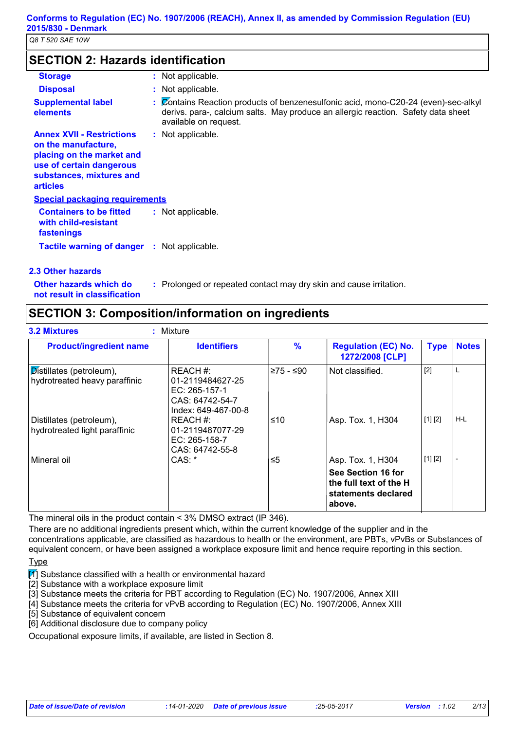## **SECTION 2: Hazards identification**

| <b>Storage</b>                                                                                                                                                  | : Not applicable.                                                                                                                                                                                |
|-----------------------------------------------------------------------------------------------------------------------------------------------------------------|--------------------------------------------------------------------------------------------------------------------------------------------------------------------------------------------------|
| <b>Disposal</b>                                                                                                                                                 | : Not applicable.                                                                                                                                                                                |
| <b>Supplemental label</b><br>elements                                                                                                                           | : Contains Reaction products of benzenesulfonic acid, mono-C20-24 (even)-sec-alkyl<br>derivs. para-, calcium salts. May produce an allergic reaction. Safety data sheet<br>available on request. |
| <b>Annex XVII - Restrictions</b><br>on the manufacture,<br>placing on the market and<br>use of certain dangerous<br>substances, mixtures and<br><b>articles</b> | : Not applicable.                                                                                                                                                                                |
| <b>Special packaging requirements</b>                                                                                                                           |                                                                                                                                                                                                  |
| <b>Containers to be fitted</b><br>with child-resistant<br>fastenings                                                                                            | : Not applicable.                                                                                                                                                                                |
| <b>Tactile warning of danger : Not applicable.</b>                                                                                                              |                                                                                                                                                                                                  |
| 2.3 Other hazards                                                                                                                                               |                                                                                                                                                                                                  |

**Other hazards which do : not result in classification**

: Prolonged or repeated contact may dry skin and cause irritation.

**SECTION 3: Composition/information on ingredients**

| <b>Product/ingredient name</b>                            | <b>Identifiers</b>                                                                      | $\frac{9}{6}$ | <b>Regulation (EC) No.</b><br>1272/2008 [CLP]                                            | <b>Type</b> | <b>Notes</b> |
|-----------------------------------------------------------|-----------------------------------------------------------------------------------------|---------------|------------------------------------------------------------------------------------------|-------------|--------------|
| Distillates (petroleum),<br>hydrotreated heavy paraffinic | REACH #:<br>01-2119484627-25<br>EC: 265-157-1<br>CAS: 64742-54-7<br>Index: 649-467-00-8 | l≥75 - ≤90    | Not classified.                                                                          | $[2]$       | L            |
| Distillates (petroleum),<br>hydrotreated light paraffinic | REACH #:<br>01-2119487077-29<br>EC: $265-158-7$<br>CAS: 64742-55-8                      | ≤10           | Asp. Tox. 1, H304                                                                        | [1] [2]     | H-L          |
| Mineral oil                                               | CAS: *                                                                                  | ≤5            | Asp. Tox. 1, H304<br>See Section 16 for<br>the full text of the H<br>statements declared | [1] [2]     |              |

The mineral oils in the product contain < 3% DMSO extract (IP 346).

There are no additional ingredients present which, within the current knowledge of the supplier and in the concentrations applicable, are classified as hazardous to health or the environment, are PBTs, vPvBs or Substances of equivalent concern, or have been assigned a workplace exposure limit and hence require reporting in this section.

Type

 $\boxed{1}$  Substance classified with a health or environmental hazard

[2] Substance with a workplace exposure limit

[3] Substance meets the criteria for PBT according to Regulation (EC) No. 1907/2006, Annex XIII

[4] Substance meets the criteria for vPvB according to Regulation (EC) No. 1907/2006, Annex XIII

[5] Substance of equivalent concern

[6] Additional disclosure due to company policy

Occupational exposure limits, if available, are listed in Section 8.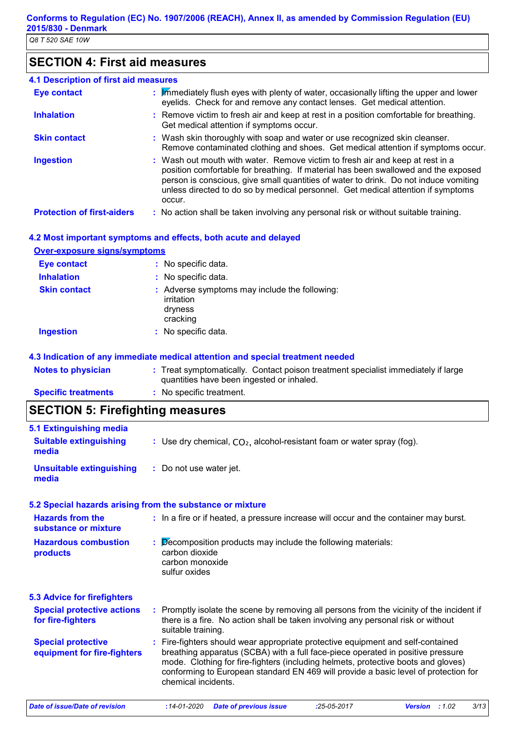## **SECTION 4: First aid measures**

| <b>4.1 Description of first aid measures</b> |                                                                                                                                                                                                                                                                                                                                                           |
|----------------------------------------------|-----------------------------------------------------------------------------------------------------------------------------------------------------------------------------------------------------------------------------------------------------------------------------------------------------------------------------------------------------------|
| <b>Eye contact</b>                           | : Mimediately flush eyes with plenty of water, occasionally lifting the upper and lower<br>eyelids. Check for and remove any contact lenses. Get medical attention.                                                                                                                                                                                       |
| <b>Inhalation</b>                            | : Remove victim to fresh air and keep at rest in a position comfortable for breathing.<br>Get medical attention if symptoms occur.                                                                                                                                                                                                                        |
| <b>Skin contact</b>                          | : Wash skin thoroughly with soap and water or use recognized skin cleanser.<br>Remove contaminated clothing and shoes. Get medical attention if symptoms occur.                                                                                                                                                                                           |
| <b>Ingestion</b>                             | : Wash out mouth with water. Remove victim to fresh air and keep at rest in a<br>position comfortable for breathing. If material has been swallowed and the exposed<br>person is conscious, give small quantities of water to drink. Do not induce vomiting<br>unless directed to do so by medical personnel. Get medical attention if symptoms<br>occur. |
| <b>Protection of first-aiders</b>            | : No action shall be taken involving any personal risk or without suitable training.                                                                                                                                                                                                                                                                      |

#### **4.2 Most important symptoms and effects, both acute and delayed**

#### **Over-exposure signs/symptoms**

| <b>Eye contact</b>  | : No specific data.                                                                |
|---------------------|------------------------------------------------------------------------------------|
| <b>Inhalation</b>   | : No specific data.                                                                |
| <b>Skin contact</b> | : Adverse symptoms may include the following:<br>irritation<br>dryness<br>cracking |
| <b>Ingestion</b>    | : No specific data.                                                                |

#### **4.3 Indication of any immediate medical attention and special treatment needed**

| <b>Notes to physician</b>  | : Treat symptomatically. Contact poison treatment specialist immediately if large |
|----------------------------|-----------------------------------------------------------------------------------|
|                            | quantities have been ingested or inhaled.                                         |
| <b>Specific treatments</b> | : No specific treatment.                                                          |

## **SECTION 5: Firefighting measures**

| 5.1 Extinguishing media<br><b>Suitable extinguishing</b><br>media | : Use dry chemical, $CO2$ , alcohol-resistant foam or water spray (fog).                                                                                                                                                                                                                                                                                              |
|-------------------------------------------------------------------|-----------------------------------------------------------------------------------------------------------------------------------------------------------------------------------------------------------------------------------------------------------------------------------------------------------------------------------------------------------------------|
| <b>Unsuitable extinguishing</b><br>media                          | : Do not use water jet.                                                                                                                                                                                                                                                                                                                                               |
|                                                                   | 5.2 Special hazards arising from the substance or mixture                                                                                                                                                                                                                                                                                                             |
| <b>Hazards from the</b><br>substance or mixture                   | : In a fire or if heated, a pressure increase will occur and the container may burst.                                                                                                                                                                                                                                                                                 |
| <b>Hazardous combustion</b><br>products                           | $\therefore$ Decomposition products may include the following materials:<br>carbon dioxide<br>carbon monoxide<br>sulfur oxides                                                                                                                                                                                                                                        |
| <b>5.3 Advice for firefighters</b>                                |                                                                                                                                                                                                                                                                                                                                                                       |
| <b>Special protective actions</b><br>for fire-fighters            | : Promptly isolate the scene by removing all persons from the vicinity of the incident if<br>there is a fire. No action shall be taken involving any personal risk or without<br>suitable training.                                                                                                                                                                   |
| <b>Special protective</b><br>equipment for fire-fighters          | : Fire-fighters should wear appropriate protective equipment and self-contained<br>breathing apparatus (SCBA) with a full face-piece operated in positive pressure<br>mode. Clothing for fire-fighters (including helmets, protective boots and gloves)<br>conforming to European standard EN 469 will provide a basic level of protection for<br>chemical incidents. |
| <b>Date of issue/Date of revision</b>                             | 3/13<br>$:14 - 01 - 2020$<br>$:25-05-2017$<br>Version : 1.02<br><b>Date of previous issue</b>                                                                                                                                                                                                                                                                         |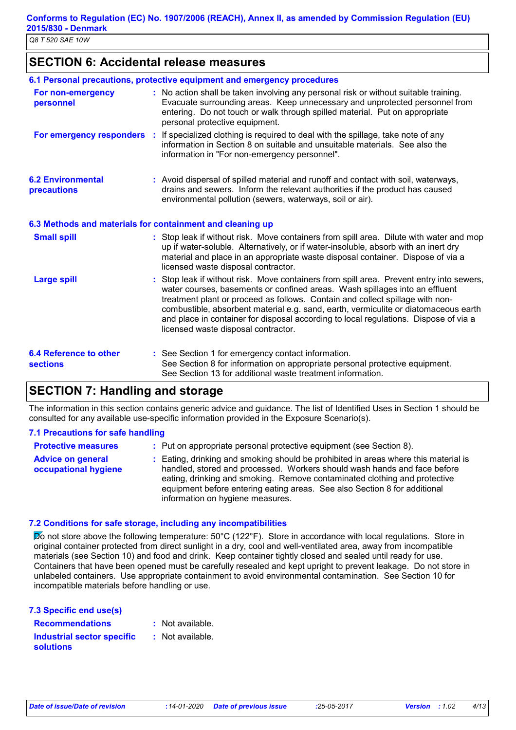## **SECTION 6: Accidental release measures**

|                                                  | 6.1 Personal precautions, protective equipment and emergency procedures                                                                                                                                                                                                                                                                                                                                                                                                        |
|--------------------------------------------------|--------------------------------------------------------------------------------------------------------------------------------------------------------------------------------------------------------------------------------------------------------------------------------------------------------------------------------------------------------------------------------------------------------------------------------------------------------------------------------|
| For non-emergency<br>personnel                   | : No action shall be taken involving any personal risk or without suitable training.<br>Evacuate surrounding areas. Keep unnecessary and unprotected personnel from<br>entering. Do not touch or walk through spilled material. Put on appropriate<br>personal protective equipment.                                                                                                                                                                                           |
| For emergency responders                         | : If specialized clothing is required to deal with the spillage, take note of any<br>information in Section 8 on suitable and unsuitable materials. See also the<br>information in "For non-emergency personnel".                                                                                                                                                                                                                                                              |
| <b>6.2 Environmental</b><br>precautions          | : Avoid dispersal of spilled material and runoff and contact with soil, waterways,<br>drains and sewers. Inform the relevant authorities if the product has caused<br>environmental pollution (sewers, waterways, soil or air).                                                                                                                                                                                                                                                |
|                                                  | 6.3 Methods and materials for containment and cleaning up                                                                                                                                                                                                                                                                                                                                                                                                                      |
| <b>Small spill</b>                               | : Stop leak if without risk. Move containers from spill area. Dilute with water and mop<br>up if water-soluble. Alternatively, or if water-insoluble, absorb with an inert dry<br>material and place in an appropriate waste disposal container. Dispose of via a<br>licensed waste disposal contractor.                                                                                                                                                                       |
| <b>Large spill</b>                               | : Stop leak if without risk. Move containers from spill area. Prevent entry into sewers,<br>water courses, basements or confined areas. Wash spillages into an effluent<br>treatment plant or proceed as follows. Contain and collect spillage with non-<br>combustible, absorbent material e.g. sand, earth, vermiculite or diatomaceous earth<br>and place in container for disposal according to local regulations. Dispose of via a<br>licensed waste disposal contractor. |
| <b>6.4 Reference to other</b><br><b>sections</b> | : See Section 1 for emergency contact information.<br>See Section 8 for information on appropriate personal protective equipment.<br>See Section 13 for additional waste treatment information.                                                                                                                                                                                                                                                                                |

## **SECTION 7: Handling and storage**

The information in this section contains generic advice and guidance. The list of Identified Uses in Section 1 should be consulted for any available use-specific information provided in the Exposure Scenario(s).

#### **7.1 Precautions for safe handling**

| <b>Protective measures</b>                       | : Put on appropriate personal protective equipment (see Section 8).                                                                                                                                                                                                                                                                                           |
|--------------------------------------------------|---------------------------------------------------------------------------------------------------------------------------------------------------------------------------------------------------------------------------------------------------------------------------------------------------------------------------------------------------------------|
| <b>Advice on general</b><br>occupational hygiene | : Eating, drinking and smoking should be prohibited in areas where this material is<br>handled, stored and processed. Workers should wash hands and face before<br>eating, drinking and smoking. Remove contaminated clothing and protective<br>equipment before entering eating areas. See also Section 8 for additional<br>information on hygiene measures. |

#### **7.2 Conditions for safe storage, including any incompatibilities**

Do not store above the following temperature: 50°C (122°F). Store in accordance with local regulations. Store in original container protected from direct sunlight in a dry, cool and well-ventilated area, away from incompatible materials (see Section 10) and food and drink. Keep container tightly closed and sealed until ready for use. Containers that have been opened must be carefully resealed and kept upright to prevent leakage. Do not store in unlabeled containers. Use appropriate containment to avoid environmental contamination. See Section 10 for incompatible materials before handling or use.

| 7.3 Specific end use(s)                        |                  |
|------------------------------------------------|------------------|
| <b>Recommendations</b>                         | : Not available. |
| Industrial sector specific<br><b>solutions</b> | : Not available. |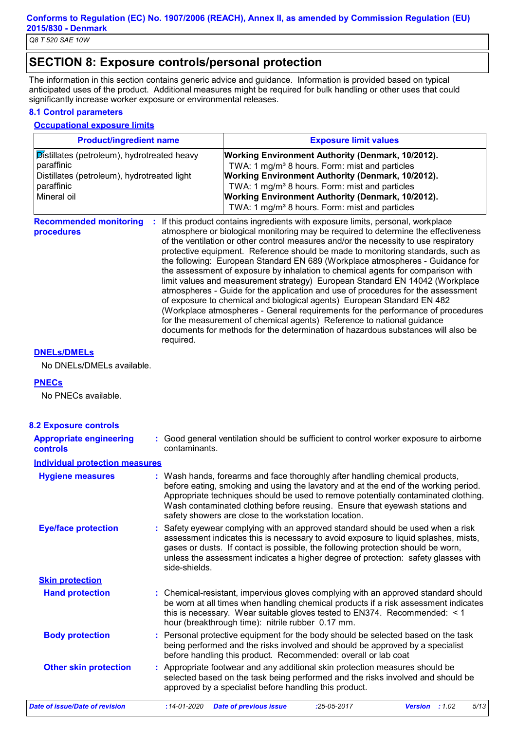## **SECTION 8: Exposure controls/personal protection**

The information in this section contains generic advice and guidance. Information is provided based on typical anticipated uses of the product. Additional measures might be required for bulk handling or other uses that could significantly increase worker exposure or environmental releases.

#### **8.1 Control parameters**

#### **Occupational exposure limits**

| <b>Product/ingredient name</b>                                                                                                        | <b>Exposure limit values</b>                                                                                                                                                                                                                                                                                                                                                                                                                                                                                                                                                                                                                                                                                                                                                                                                                                                                                                                                                                                        |  |
|---------------------------------------------------------------------------------------------------------------------------------------|---------------------------------------------------------------------------------------------------------------------------------------------------------------------------------------------------------------------------------------------------------------------------------------------------------------------------------------------------------------------------------------------------------------------------------------------------------------------------------------------------------------------------------------------------------------------------------------------------------------------------------------------------------------------------------------------------------------------------------------------------------------------------------------------------------------------------------------------------------------------------------------------------------------------------------------------------------------------------------------------------------------------|--|
| Distillates (petroleum), hydrotreated heavy<br>paraffinic<br>Distillates (petroleum), hydrotreated light<br>paraffinic<br>Mineral oil | <b>Working Environment Authority (Denmark, 10/2012).</b><br>TWA: 1 mg/m <sup>3</sup> 8 hours. Form: mist and particles<br><b>Working Environment Authority (Denmark, 10/2012).</b><br>TWA: 1 mg/m <sup>3</sup> 8 hours. Form: mist and particles<br>Working Environment Authority (Denmark, 10/2012).<br>TWA: 1 mg/m <sup>3</sup> 8 hours. Form: mist and particles                                                                                                                                                                                                                                                                                                                                                                                                                                                                                                                                                                                                                                                 |  |
| <b>Recommended monitoring</b><br>procedures<br>required.                                                                              | If this product contains ingredients with exposure limits, personal, workplace<br>atmosphere or biological monitoring may be required to determine the effectiveness<br>of the ventilation or other control measures and/or the necessity to use respiratory<br>protective equipment. Reference should be made to monitoring standards, such as<br>the following: European Standard EN 689 (Workplace atmospheres - Guidance for<br>the assessment of exposure by inhalation to chemical agents for comparison with<br>limit values and measurement strategy) European Standard EN 14042 (Workplace<br>atmospheres - Guide for the application and use of procedures for the assessment<br>of exposure to chemical and biological agents) European Standard EN 482<br>(Workplace atmospheres - General requirements for the performance of procedures<br>for the measurement of chemical agents) Reference to national guidance<br>documents for methods for the determination of hazardous substances will also be |  |

#### **DNELs/DMELs**

No DNELs/DMELs available.

#### **PNECs**

No PNECs available.

| <b>8.2 Exposure controls</b>                      |                                                                                                                                                                                                                                                                                                                                                                                                   |
|---------------------------------------------------|---------------------------------------------------------------------------------------------------------------------------------------------------------------------------------------------------------------------------------------------------------------------------------------------------------------------------------------------------------------------------------------------------|
| <b>Appropriate engineering</b><br><b>controls</b> | : Good general ventilation should be sufficient to control worker exposure to airborne<br>contaminants.                                                                                                                                                                                                                                                                                           |
| <b>Individual protection measures</b>             |                                                                                                                                                                                                                                                                                                                                                                                                   |
| <b>Hygiene measures</b>                           | : Wash hands, forearms and face thoroughly after handling chemical products,<br>before eating, smoking and using the lavatory and at the end of the working period.<br>Appropriate techniques should be used to remove potentially contaminated clothing.<br>Wash contaminated clothing before reusing. Ensure that eyewash stations and<br>safety showers are close to the workstation location. |
| <b>Eye/face protection</b>                        | : Safety eyewear complying with an approved standard should be used when a risk<br>assessment indicates this is necessary to avoid exposure to liquid splashes, mists,<br>gases or dusts. If contact is possible, the following protection should be worn,<br>unless the assessment indicates a higher degree of protection: safety glasses with<br>side-shields.                                 |
| <b>Skin protection</b>                            |                                                                                                                                                                                                                                                                                                                                                                                                   |
| <b>Hand protection</b>                            | : Chemical-resistant, impervious gloves complying with an approved standard should<br>be worn at all times when handling chemical products if a risk assessment indicates<br>this is necessary. Wear suitable gloves tested to EN374. Recommended: $\leq 1$<br>hour (breakthrough time): nitrile rubber 0.17 mm.                                                                                  |
| <b>Body protection</b>                            | : Personal protective equipment for the body should be selected based on the task<br>being performed and the risks involved and should be approved by a specialist<br>before handling this product. Recommended: overall or lab coat                                                                                                                                                              |
| <b>Other skin protection</b>                      | : Appropriate footwear and any additional skin protection measures should be<br>selected based on the task being performed and the risks involved and should be<br>approved by a specialist before handling this product.                                                                                                                                                                         |
| <b>Date of issue/Date of revision</b>             | 5/13<br>$:14 - 01 - 2020$<br><b>Date of previous issue</b><br>$:25-05-2017$<br>Version : 1.02                                                                                                                                                                                                                                                                                                     |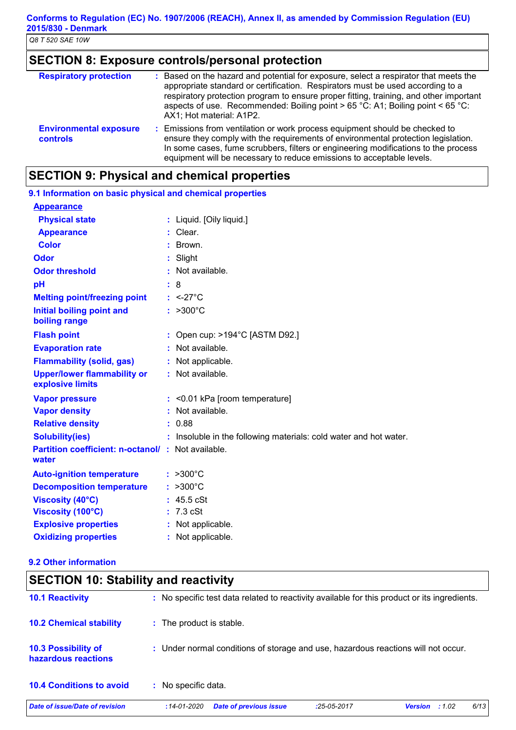## **SECTION 8: Exposure controls/personal protection**

| <b>Respiratory protection</b>                    | : Based on the hazard and potential for exposure, select a respirator that meets the<br>appropriate standard or certification. Respirators must be used according to a<br>respiratory protection program to ensure proper fitting, training, and other important<br>aspects of use. Recommended: Boiling point > 65 °C: A1; Boiling point < 65 °C:<br>AX1; Hot material: A1P2. |
|--------------------------------------------------|--------------------------------------------------------------------------------------------------------------------------------------------------------------------------------------------------------------------------------------------------------------------------------------------------------------------------------------------------------------------------------|
| <b>Environmental exposure</b><br><b>controls</b> | : Emissions from ventilation or work process equipment should be checked to<br>ensure they comply with the requirements of environmental protection legislation.<br>In some cases, fume scrubbers, filters or engineering modifications to the process<br>equipment will be necessary to reduce emissions to acceptable levels.                                                |

## **SECTION 9: Physical and chemical properties**

| 9.1 Information on basic physical and chemical properties          |                                                                   |
|--------------------------------------------------------------------|-------------------------------------------------------------------|
| <b>Appearance</b>                                                  |                                                                   |
| <b>Physical state</b>                                              | : Liquid. [Oily liquid.]                                          |
| <b>Appearance</b>                                                  | $:$ Clear.                                                        |
| <b>Color</b>                                                       | : Brown.                                                          |
| <b>Odor</b>                                                        | : Slight                                                          |
| <b>Odor threshold</b>                                              | : Not available.                                                  |
| pH                                                                 | 8                                                                 |
| <b>Melting point/freezing point</b>                                | $: <27^{\circ}$ C                                                 |
| Initial boiling point and<br>boiling range                         | $: >300^{\circ}C$                                                 |
| <b>Flash point</b>                                                 | : Open cup: >194°C [ASTM D92.]                                    |
| <b>Evaporation rate</b>                                            | Not available.                                                    |
| <b>Flammability (solid, gas)</b>                                   | : Not applicable.                                                 |
| <b>Upper/lower flammability or</b><br>explosive limits             | : Not available.                                                  |
| <b>Vapor pressure</b>                                              | $:$ <0.01 kPa [room temperature]                                  |
| <b>Vapor density</b>                                               | : Not available.                                                  |
| <b>Relative density</b>                                            | : 0.88                                                            |
| <b>Solubility(ies)</b>                                             | : Insoluble in the following materials: cold water and hot water. |
| <b>Partition coefficient: n-octanol/ : Not available.</b><br>water |                                                                   |
| <b>Auto-ignition temperature</b>                                   | $: >300^{\circ}C$                                                 |
| <b>Decomposition temperature</b>                                   | $: >300^{\circ}C$                                                 |
| <b>Viscosity (40°C)</b>                                            | 45.5 cSt                                                          |
| Viscosity (100°C)                                                  | $7.3 \text{ cSt}$                                                 |
| <b>Explosive properties</b>                                        | : Not applicable.                                                 |
| <b>Oxidizing properties</b>                                        | : Not applicable.                                                 |

#### **9.2 Other information**

| <b>SECTION 10: Stability and reactivity</b>       |                                                                                                      |
|---------------------------------------------------|------------------------------------------------------------------------------------------------------|
| <b>10.1 Reactivity</b>                            | : No specific test data related to reactivity available for this product or its ingredients.         |
| <b>10.2 Chemical stability</b>                    | : The product is stable.                                                                             |
| <b>10.3 Possibility of</b><br>hazardous reactions | : Under normal conditions of storage and use, hazardous reactions will not occur.                    |
| <b>10.4 Conditions to avoid</b>                   | : No specific data.                                                                                  |
| Date of issue/Date of revision                    | 6/13<br><b>Date of previous issue</b><br>$:14 - 01 - 2020$<br>:25-05-2017<br><b>Version</b><br>:1.02 |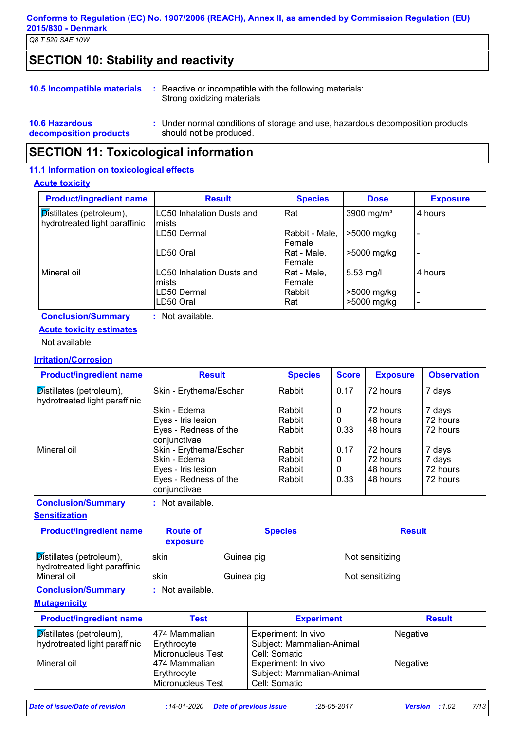#### **Conforms to Regulation (EC) No. 1907/2006 (REACH), Annex II, as amended by Commission Regulation (EU) 2015/830 - Denmark**

*Q8 T 520 SAE 10W*

## **SECTION 10: Stability and reactivity**

|  | <b>10.5 Incompatible materials</b> : Reactive or incompatible with the following materials:<br>Strong oxidizing materials |  |
|--|---------------------------------------------------------------------------------------------------------------------------|--|
|  |                                                                                                                           |  |

#### **10.6 Hazardous decomposition products** Under normal conditions of storage and use, hazardous decomposition products **:** should not be produced.

## **SECTION 11: Toxicological information**

#### **11.1 Information on toxicological effects**

#### **Acute toxicity**

| <b>Product/ingredient name</b>                                            | <b>Result</b>                              | <b>Species</b>           | <b>Dose</b>                | <b>Exposure</b>                  |
|---------------------------------------------------------------------------|--------------------------------------------|--------------------------|----------------------------|----------------------------------|
| $\sqrt{\text{Distillates}}$ (petroleum),<br>hydrotreated light paraffinic | <b>LC50 Inhalation Dusts and</b><br>lmists | l Rat                    | 3900 mg/m <sup>3</sup>     | 4 hours                          |
|                                                                           | LD50 Dermal                                | Rabbit - Male,<br>Female | >5000 mg/kg                |                                  |
|                                                                           | LD50 Oral                                  | Rat - Male,<br>Female    | >5000 mg/kg                |                                  |
| Mineral oil                                                               | LC50 Inhalation Dusts and<br>mists         | Rat - Male,<br>Female    | $5.53$ mg/l                | 4 hours                          |
|                                                                           | LD50 Dermal<br>LD50 Oral                   | Rabbit<br>Rat            | >5000 mg/kg<br>>5000 mg/kg | $\blacksquare$<br>$\blacksquare$ |
| <b>Conclusion/Summary</b>                                                 | : Not available.                           |                          |                            |                                  |

## **Acute toxicity estimates**

Not available.

#### **Irritation/Corrosion**

| <b>Product/ingredient name</b>                                                   | <b>Result</b>                         | <b>Species</b> | <b>Score</b> | <b>Exposure</b> | <b>Observation</b> |
|----------------------------------------------------------------------------------|---------------------------------------|----------------|--------------|-----------------|--------------------|
| $\overline{\mathsf{D}}$ istillates (petroleum),<br>hydrotreated light paraffinic | Skin - Erythema/Eschar                | Rabbit         | 0.17         | 72 hours        | 7 days             |
|                                                                                  | Skin - Edema                          | Rabbit         | 0            | 72 hours        | 7 days             |
|                                                                                  | Eyes - Iris lesion                    | Rabbit         | 0            | 48 hours        | 72 hours           |
|                                                                                  | Eyes - Redness of the<br>conjunctivae | Rabbit         | 0.33         | 48 hours        | 72 hours           |
| Mineral oil                                                                      | Skin - Erythema/Eschar                | Rabbit         | 0.17         | 72 hours        | 7 days             |
|                                                                                  | Skin - Edema                          | Rabbit         | 0            | 72 hours        | 7 days             |
|                                                                                  | Eyes - Iris lesion                    | Rabbit         | $\mathbf{0}$ | 48 hours        | 72 hours           |
|                                                                                  | Eyes - Redness of the<br>conjunctivae | Rabbit         | 0.33         | 48 hours        | 72 hours           |

**Conclusion/Summary :** Not available.

**Sensitization**

| <b>Product/ingredient name</b>                            | <b>Route of</b><br>exposure | <b>Species</b> | <b>Result</b>   |
|-----------------------------------------------------------|-----------------------------|----------------|-----------------|
| Distillates (petroleum),<br>hydrotreated light paraffinic | skin                        | Guinea pig     | Not sensitizing |
| Mineral oil                                               | skin                        | Guinea pig     | Not sensitizing |
|                                                           | <b>ALC 4 1 1 1</b>          |                |                 |

**Conclusion/Summary :** Not available.

#### **Mutagenicity**

| <b>Product/ingredient name</b>                                   | Test                                              | <b>Experiment</b>                                                 | <b>Result</b> |
|------------------------------------------------------------------|---------------------------------------------------|-------------------------------------------------------------------|---------------|
| <b>Distillates (petroleum),</b><br>hydrotreated light paraffinic | 474 Mammalian<br>Erythrocyte<br>Micronucleus Test | Experiment: In vivo<br>Subject: Mammalian-Animal<br>Cell: Somatic | Negative      |
| Mineral oil                                                      | 474 Mammalian<br>Erythrocyte<br>Micronucleus Test | Experiment: In vivo<br>Subject: Mammalian-Animal<br>Cell: Somatic | Negative      |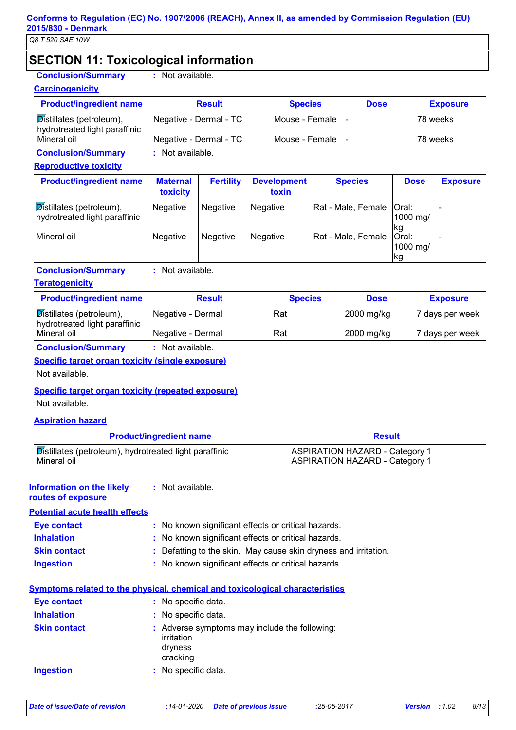## **SECTION 11: Toxicological information**

## **Carcinogenicity**

**Conclusion/Summary :** Not available.

| <b>Product/ingredient name</b>                                            | <b>Result</b>          | <b>Species</b>   | <b>Dose</b> | <b>Exposure</b> |
|---------------------------------------------------------------------------|------------------------|------------------|-------------|-----------------|
| $\sqrt{\text{Distillates}}$ (petroleum),<br>hydrotreated light paraffinic | Negative - Dermal - TC | Mouse - Female I |             | 78 weeks        |
| Mineral oil                                                               | Negative - Dermal - TC | Mouse - Female I |             | 78 weeks        |

**Conclusion/Summary :** Not available.

#### **Reproductive toxicity**

| <b>Product/ingredient name</b>                            | <b>Maternal</b><br>toxicity | <b>Fertility</b> | Development<br>toxin | <b>Species</b>             | <b>Dose</b>                     | <b>Exposure</b> |
|-----------------------------------------------------------|-----------------------------|------------------|----------------------|----------------------------|---------------------------------|-----------------|
| Distillates (petroleum),<br>hydrotreated light paraffinic | <b>Negative</b>             | Negative         | Negative             | Rat - Male, Female   Oral: | 1000 mg/<br>lkg                 |                 |
| l Mineral oil                                             | <b>Negative</b>             | Negative         | Negative             | Rat - Male, Female         | <b>Oral:</b><br>1000 mg/<br>lkg |                 |

**Conclusion/Summary :** Not available.

#### **Teratogenicity**

| <b>Product/ingredient name</b>                            | <b>Result</b>     | <b>Species</b> | <b>Dose</b> | <b>Exposure</b> |
|-----------------------------------------------------------|-------------------|----------------|-------------|-----------------|
| Distillates (petroleum),<br>hydrotreated light paraffinic | Negative - Dermal | Rat            | 2000 mg/kg  | 7 days per week |
| l Mineral oil                                             | Negative - Dermal | Rat            | 2000 mg/kg  | 7 days per week |
| .                                                         |                   |                |             |                 |

**Conclusion/Summary :** Not available.

#### **Specific target organ toxicity (single exposure)**

Not available.

#### **Specific target organ toxicity (repeated exposure)**

Not available.

#### **Aspiration hazard**

| <b>Product/ingredient name</b>                                  | <b>Result</b>                         |
|-----------------------------------------------------------------|---------------------------------------|
| ∫ <b>Distillates (petroleum), hydrotreated light paraffinic</b> | <b>ASPIRATION HAZARD - Category 1</b> |
| l Mineral oil                                                   | <b>ASPIRATION HAZARD - Category 1</b> |

## **Information on the likely**

**routes of exposure**

**:** Not available.

#### **Potential acute health effects Inhalation :** No known significant effects or critical hazards. **Ingestion :** No known significant effects or critical hazards. **Skin contact :** Defatting to the skin. May cause skin dryness and irritation. **Eye contact :** No known significant effects or critical hazards.

|                     | Symptoms related to the physical, chemical and toxicological characteristics       |
|---------------------|------------------------------------------------------------------------------------|
| <b>Eye contact</b>  | : No specific data.                                                                |
| <b>Inhalation</b>   | : No specific data.                                                                |
| <b>Skin contact</b> | : Adverse symptoms may include the following:<br>irritation<br>dryness<br>cracking |
| <b>Ingestion</b>    | : No specific data.                                                                |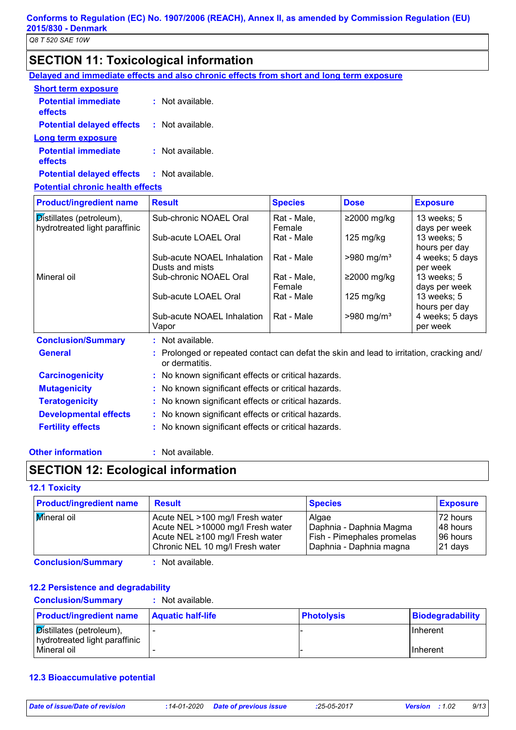## **SECTION 11: Toxicological information**

**Delayed and immediate effects and also chronic effects from short and long term exposure**

| : Not available.   |
|--------------------|
| : Not available.   |
|                    |
| $:$ Not available. |
| : Not available.   |
|                    |

#### **Potential chronic health effects**

| <b>Product/ingredient name</b>        | <b>Result</b>                                                                                              | <b>Species</b> | <b>Dose</b>              | <b>Exposure</b>                  |
|---------------------------------------|------------------------------------------------------------------------------------------------------------|----------------|--------------------------|----------------------------------|
| $\mathcal{D}$ istillates (petroleum), | Sub-chronic NOAEL Oral                                                                                     | Rat - Male,    | ≥2000 mg/kg              | 13 weeks; 5                      |
| hydrotreated light paraffinic         |                                                                                                            | Female         |                          | days per week                    |
|                                       | Sub-acute LOAEL Oral                                                                                       | Rat - Male     | $125 \text{ mg/kg}$      | 13 weeks; 5                      |
|                                       | Sub-acute NOAEL Inhalation                                                                                 | Rat - Male     | $>980$ mg/m <sup>3</sup> | hours per day<br>4 weeks; 5 days |
|                                       | Dusts and mists                                                                                            |                |                          | per week                         |
| Mineral oil                           | Sub-chronic NOAEL Oral                                                                                     | Rat - Male,    | $≥2000$ mg/kg            | 13 weeks; 5                      |
|                                       |                                                                                                            | Female         |                          | days per week                    |
|                                       | Sub-acute LOAEL Oral                                                                                       | Rat - Male     | $125 \text{ mg/kg}$      | 13 weeks; 5                      |
|                                       |                                                                                                            |                |                          | hours per day                    |
|                                       | Sub-acute NOAEL Inhalation                                                                                 | Rat - Male     | $>980$ mg/m <sup>3</sup> | 4 weeks; 5 days                  |
|                                       | Vapor                                                                                                      |                |                          | per week                         |
| <b>Conclusion/Summary</b>             | : Not available.                                                                                           |                |                          |                                  |
| <b>General</b>                        | : Prolonged or repeated contact can defat the skin and lead to irritation, cracking and/<br>or dermatitis. |                |                          |                                  |
| <b>Carcinogenicity</b>                | : No known significant effects or critical hazards.                                                        |                |                          |                                  |
| <b>Mutagenicity</b>                   | : No known significant effects or critical hazards.                                                        |                |                          |                                  |
| <b>Teratogenicity</b>                 | : No known significant effects or critical hazards.                                                        |                |                          |                                  |
| <b>Developmental effects</b>          | : No known significant effects or critical hazards.                                                        |                |                          |                                  |
| <b>Fertility effects</b>              | : No known significant effects or critical hazards.                                                        |                |                          |                                  |

#### **Other information :**

: Not available.

## **SECTION 12: Ecological information**

#### **12.1 Toxicity**

| <b>Product/ingredient name</b> | <b>Result</b>                     | <b>Species</b>             | <b>Exposure</b> |
|--------------------------------|-----------------------------------|----------------------------|-----------------|
| Mineral oil                    | Acute NEL >100 mg/l Fresh water   | Algae                      | 72 hours        |
|                                | Acute NEL >10000 mg/l Fresh water | Daphnia - Daphnia Magma    | 148 hours       |
|                                | Acute NEL ≥100 mg/l Fresh water   | Fish - Pimephales promelas | 196 hours       |
|                                | Chronic NEL 10 mg/l Fresh water   | Daphnia - Daphnia magna    | $ 21$ days      |

**Conclusion/Summary :** Not available.

#### **12.2 Persistence and degradability**

| <b>Conclusion/Summary</b> | : Not available. |
|---------------------------|------------------|
|---------------------------|------------------|

| <b>Product/ingredient name</b>                                            | <b>Aquatic half-life</b> | <b>Photolysis</b> | Biodegradability |
|---------------------------------------------------------------------------|--------------------------|-------------------|------------------|
| $\sqrt{\text{Distillates}}$ (petroleum),<br>hydrotreated light paraffinic |                          |                   | <b>IInherent</b> |
| Mineral oil                                                               |                          |                   | <b>Inherent</b>  |

#### **12.3 Bioaccumulative potential**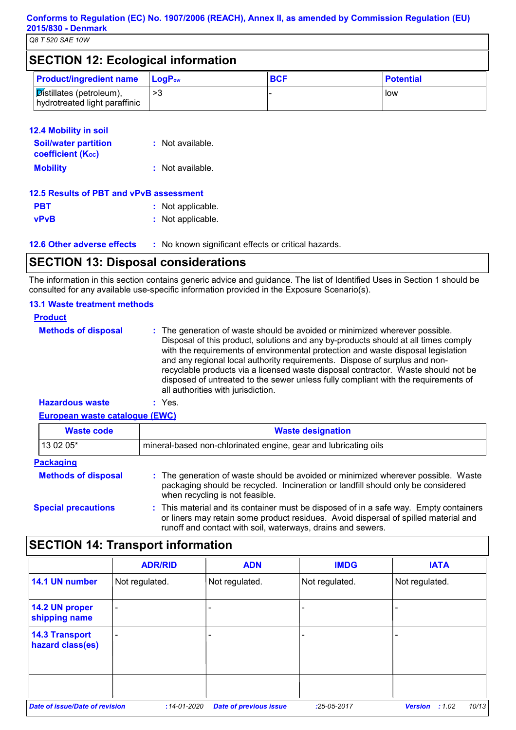| <b>SECTION 12: Ecological information</b> |  |
|-------------------------------------------|--|
|-------------------------------------------|--|

| <b>Product/ingredient name</b>                                          | $\blacksquare$ LogP <sub>ow</sub> | <b>BCF</b> | <b>Potential</b> |
|-------------------------------------------------------------------------|-----------------------------------|------------|------------------|
| $ \mathcal{D}$ istillates (petroleum),<br>hydrotreated light paraffinic |                                   |            | l low            |

#### **12.4 Mobility in soil**

| <b>Soil/water partition</b><br><b>coefficient (Koc)</b> | : Not available. |
|---------------------------------------------------------|------------------|
| <b>Mobility</b>                                         | : Not available. |

| 12.5 Results of PBT and vPvB assessment |                   |  |  |  |
|-----------------------------------------|-------------------|--|--|--|
| <b>PBT</b>                              | : Not applicable. |  |  |  |
| <b>vPvB</b>                             | : Not applicable. |  |  |  |

**12.6 Other adverse effects** : No known significant effects or critical hazards.

## **SECTION 13: Disposal considerations**

The information in this section contains generic advice and guidance. The list of Identified Uses in Section 1 should be consulted for any available use-specific information provided in the Exposure Scenario(s).

#### **13.1 Waste treatment methods**

| <b>Product</b>             |                                                                                                                                                                                                                                                                                                                                                                                                                                                                                                                                                      |
|----------------------------|------------------------------------------------------------------------------------------------------------------------------------------------------------------------------------------------------------------------------------------------------------------------------------------------------------------------------------------------------------------------------------------------------------------------------------------------------------------------------------------------------------------------------------------------------|
| <b>Methods of disposal</b> | : The generation of waste should be avoided or minimized wherever possible.<br>Disposal of this product, solutions and any by-products should at all times comply<br>with the requirements of environmental protection and waste disposal legislation<br>and any regional local authority requirements. Dispose of surplus and non-<br>recyclable products via a licensed waste disposal contractor. Waste should not be<br>disposed of untreated to the sewer unless fully compliant with the requirements of<br>all authorities with jurisdiction. |
| <b>Hazardous waste</b>     | Yes.                                                                                                                                                                                                                                                                                                                                                                                                                                                                                                                                                 |

**European waste catalogue (EWC)**

| <b>Waste code</b>          | <b>Waste designation</b>                                                                                                                                                                                                                    |  |
|----------------------------|---------------------------------------------------------------------------------------------------------------------------------------------------------------------------------------------------------------------------------------------|--|
| 13 02 05*                  | mineral-based non-chlorinated engine, gear and lubricating oils                                                                                                                                                                             |  |
| <b>Packaging</b>           |                                                                                                                                                                                                                                             |  |
| <b>Methods of disposal</b> | : The generation of waste should be avoided or minimized wherever possible. Waste<br>packaging should be recycled. Incineration or landfill should only be considered<br>when recycling is not feasible.                                    |  |
| <b>Special precautions</b> | : This material and its container must be disposed of in a safe way. Empty containers<br>or liners may retain some product residues. Avoid dispersal of spilled material and<br>runoff and contact with soil, waterways, drains and sewers. |  |

## **SECTION 14: Transport information**

|                                           | <b>ADR/RID</b>           | <b>ADN</b>                    | <b>IMDG</b>    | <b>IATA</b>                      |
|-------------------------------------------|--------------------------|-------------------------------|----------------|----------------------------------|
| 14.1 UN number                            | Not regulated.           | Not regulated.                | Not regulated. | Not regulated.                   |
| 14.2 UN proper<br>shipping name           | $\overline{\phantom{0}}$ |                               |                |                                  |
| <b>14.3 Transport</b><br>hazard class(es) | ٠                        |                               |                |                                  |
|                                           |                          |                               |                |                                  |
| Date of issue/Date of revision            | $:14 - 01 - 2020$        | <b>Date of previous issue</b> | $:25-05-2017$  | 10/13<br><b>Version</b><br>:1.02 |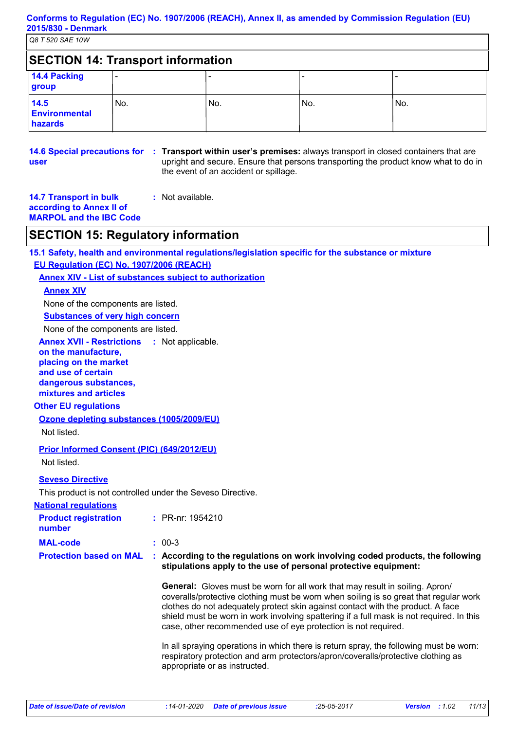| <b>SECTION 14: Transport information</b> |       |     |     |     |  |
|------------------------------------------|-------|-----|-----|-----|--|
| 14.4 Packing<br>group                    |       |     |     |     |  |
| 14.5<br>Environmental<br>hazards         | l No. | No. | No. | No. |  |

# **user**

**14.6 Special precautions for : Transport within user's premises:** always transport in closed containers that are upright and secure. Ensure that persons transporting the product know what to do in the event of an accident or spillage.

#### **14.7 Transport in bulk according to Annex II of MARPOL and the IBC Code :** Not available.

## **SECTION 15: Regulatory information**

**15.1 Safety, health and environmental regulations/legislation specific for the substance or mixture EU Regulation (EC) No. 1907/2006 (REACH)**

**Annex XIV - List of substances subject to authorization**

#### **Annex XIV**

None of the components are listed.

**Substances of very high concern**

None of the components are listed.

**Annex XVII - Restrictions :** Not applicable.

## **on the manufacture,**

**placing on the market and use of certain dangerous substances,**

**mixtures and articles**

#### **Other EU regulations**

**Ozone depleting substances (1005/2009/EU)**

Not listed.

**Prior Informed Consent (PIC) (649/2012/EU)**

Not listed.

#### **Seveso Directive**

This product is not controlled under the Seveso Directive.

| <b>National regulations</b>           |                                                                                                                                                                                                                                                                                                                                                                                                                               |
|---------------------------------------|-------------------------------------------------------------------------------------------------------------------------------------------------------------------------------------------------------------------------------------------------------------------------------------------------------------------------------------------------------------------------------------------------------------------------------|
| <b>Product registration</b><br>number | $\therefore$ PR-nr: 1954210                                                                                                                                                                                                                                                                                                                                                                                                   |
| <b>MAL-code</b>                       | $: 00-3$                                                                                                                                                                                                                                                                                                                                                                                                                      |
| <b>Protection based on MAL</b>        | : According to the regulations on work involving coded products, the following<br>stipulations apply to the use of personal protective equipment:                                                                                                                                                                                                                                                                             |
|                                       | <b>General:</b> Gloves must be worn for all work that may result in soiling. Apron/<br>coveralls/protective clothing must be worn when soiling is so great that regular work<br>clothes do not adequately protect skin against contact with the product. A face<br>shield must be worn in work involving spattering if a full mask is not required. In this<br>case, other recommended use of eye protection is not required. |

In all spraying operations in which there is return spray, the following must be worn: respiratory protection and arm protectors/apron/coveralls/protective clothing as appropriate or as instructed.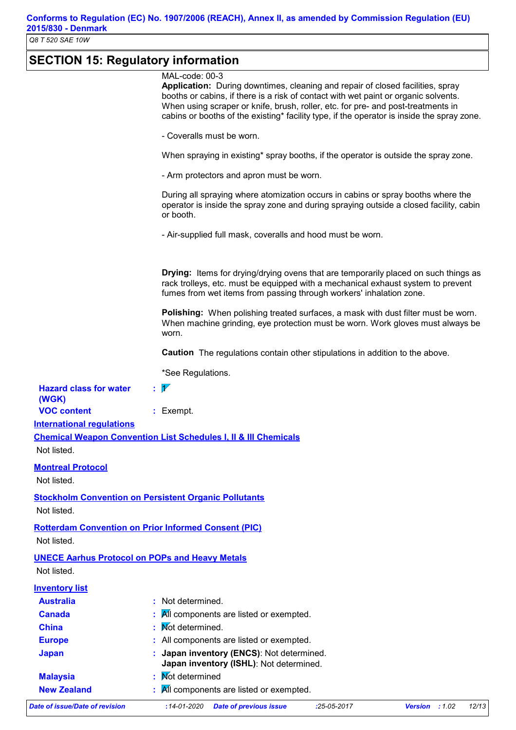# **SECTION 15: Regulatory information**

|                                        | MAL-code: 00-3<br>Application: During downtimes, cleaning and repair of closed facilities, spray<br>booths or cabins, if there is a risk of contact with wet paint or organic solvents.<br>When using scraper or knife, brush, roller, etc. for pre- and post-treatments in<br>cabins or booths of the existing* facility type, if the operator is inside the spray zone. |
|----------------------------------------|---------------------------------------------------------------------------------------------------------------------------------------------------------------------------------------------------------------------------------------------------------------------------------------------------------------------------------------------------------------------------|
|                                        | - Coveralls must be worn.                                                                                                                                                                                                                                                                                                                                                 |
|                                        | When spraying in existing* spray booths, if the operator is outside the spray zone.                                                                                                                                                                                                                                                                                       |
|                                        | - Arm protectors and apron must be worn.                                                                                                                                                                                                                                                                                                                                  |
|                                        | During all spraying where atomization occurs in cabins or spray booths where the<br>operator is inside the spray zone and during spraying outside a closed facility, cabin<br>or booth.                                                                                                                                                                                   |
|                                        | - Air-supplied full mask, coveralls and hood must be worn.                                                                                                                                                                                                                                                                                                                |
|                                        | <b>Drying:</b> Items for drying/drying ovens that are temporarily placed on such things as<br>rack trolleys, etc. must be equipped with a mechanical exhaust system to prevent<br>fumes from wet items from passing through workers' inhalation zone.                                                                                                                     |
|                                        | <b>Polishing:</b> When polishing treated surfaces, a mask with dust filter must be worn.<br>When machine grinding, eye protection must be worn. Work gloves must always be<br>worn.                                                                                                                                                                                       |
|                                        | <b>Caution</b> The regulations contain other stipulations in addition to the above.                                                                                                                                                                                                                                                                                       |
|                                        | *See Regulations.                                                                                                                                                                                                                                                                                                                                                         |
| <b>Hazard class for water</b><br>(WGK) | $\overline{\mathscr{V}}$                                                                                                                                                                                                                                                                                                                                                  |
| <b>VOC content</b>                     | : Exempt.                                                                                                                                                                                                                                                                                                                                                                 |
| <b>International regulations</b>       |                                                                                                                                                                                                                                                                                                                                                                           |
| Not listed.                            | <b>Chemical Weapon Convention List Schedules I, II &amp; III Chemicals</b>                                                                                                                                                                                                                                                                                                |
| <b>Montreal Protocol</b>               |                                                                                                                                                                                                                                                                                                                                                                           |
| Not listed.                            |                                                                                                                                                                                                                                                                                                                                                                           |
|                                        | <b>Stockholm Convention on Persistent Organic Pollutants</b>                                                                                                                                                                                                                                                                                                              |
| Not listed.                            |                                                                                                                                                                                                                                                                                                                                                                           |
| Not listed.                            | <b>Rotterdam Convention on Prior Informed Consent (PIC)</b>                                                                                                                                                                                                                                                                                                               |
|                                        |                                                                                                                                                                                                                                                                                                                                                                           |
| Not listed.                            | <b>UNECE Aarhus Protocol on POPs and Heavy Metals</b>                                                                                                                                                                                                                                                                                                                     |
| <b>Inventory list</b>                  |                                                                                                                                                                                                                                                                                                                                                                           |
| <b>Australia</b>                       | : Not determined.                                                                                                                                                                                                                                                                                                                                                         |
| <b>Canada</b>                          | All components are listed or exempted.                                                                                                                                                                                                                                                                                                                                    |
| <b>China</b>                           | Not determined.                                                                                                                                                                                                                                                                                                                                                           |
| <b>Europe</b>                          | All components are listed or exempted.                                                                                                                                                                                                                                                                                                                                    |
| <b>Japan</b>                           | Japan inventory (ENCS): Not determined.<br>Japan inventory (ISHL): Not determined.                                                                                                                                                                                                                                                                                        |
| <b>Malaysia</b>                        | <b>Not determined</b>                                                                                                                                                                                                                                                                                                                                                     |
| <b>New Zealand</b>                     | All components are listed or exempted.                                                                                                                                                                                                                                                                                                                                    |
|                                        |                                                                                                                                                                                                                                                                                                                                                                           |
| <b>Date of issue/Date of revision</b>  | <b>Date of previous issue</b><br>$:14 - 01 - 2020$<br>$:25-05-2017$<br>Version : 1.02<br>12/13                                                                                                                                                                                                                                                                            |